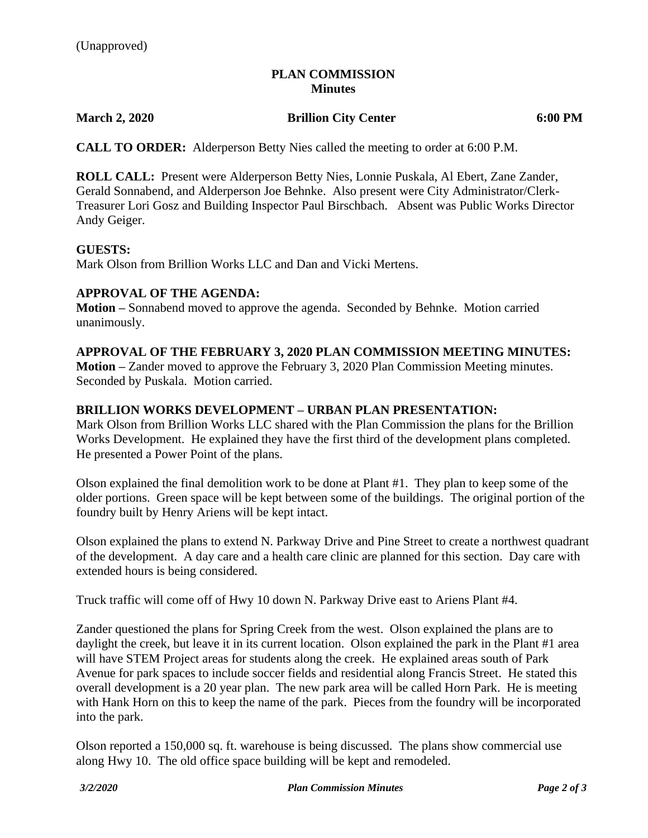## **PLAN COMMISSION Minutes**

**March 2, 2020 Brillion City Center 6:00 PM**

**CALL TO ORDER:** Alderperson Betty Nies called the meeting to order at 6:00 P.M.

**ROLL CALL:** Present were Alderperson Betty Nies, Lonnie Puskala, Al Ebert, Zane Zander, Gerald Sonnabend, and Alderperson Joe Behnke. Also present were City Administrator/Clerk-Treasurer Lori Gosz and Building Inspector Paul Birschbach. Absent was Public Works Director Andy Geiger.

### **GUESTS:**

Mark Olson from Brillion Works LLC and Dan and Vicki Mertens.

## **APPROVAL OF THE AGENDA:**

**Motion –** Sonnabend moved to approve the agenda. Seconded by Behnke. Motion carried unanimously.

### **APPROVAL OF THE FEBRUARY 3, 2020 PLAN COMMISSION MEETING MINUTES:**

**Motion –** Zander moved to approve the February 3, 2020 Plan Commission Meeting minutes. Seconded by Puskala. Motion carried.

## **BRILLION WORKS DEVELOPMENT – URBAN PLAN PRESENTATION:**

Mark Olson from Brillion Works LLC shared with the Plan Commission the plans for the Brillion Works Development. He explained they have the first third of the development plans completed. He presented a Power Point of the plans.

Olson explained the final demolition work to be done at Plant #1. They plan to keep some of the older portions. Green space will be kept between some of the buildings. The original portion of the foundry built by Henry Ariens will be kept intact.

Olson explained the plans to extend N. Parkway Drive and Pine Street to create a northwest quadrant of the development. A day care and a health care clinic are planned for this section. Day care with extended hours is being considered.

Truck traffic will come off of Hwy 10 down N. Parkway Drive east to Ariens Plant #4.

Zander questioned the plans for Spring Creek from the west. Olson explained the plans are to daylight the creek, but leave it in its current location. Olson explained the park in the Plant #1 area will have STEM Project areas for students along the creek. He explained areas south of Park Avenue for park spaces to include soccer fields and residential along Francis Street. He stated this overall development is a 20 year plan. The new park area will be called Horn Park. He is meeting with Hank Horn on this to keep the name of the park. Pieces from the foundry will be incorporated into the park.

Olson reported a 150,000 sq. ft. warehouse is being discussed. The plans show commercial use along Hwy 10. The old office space building will be kept and remodeled.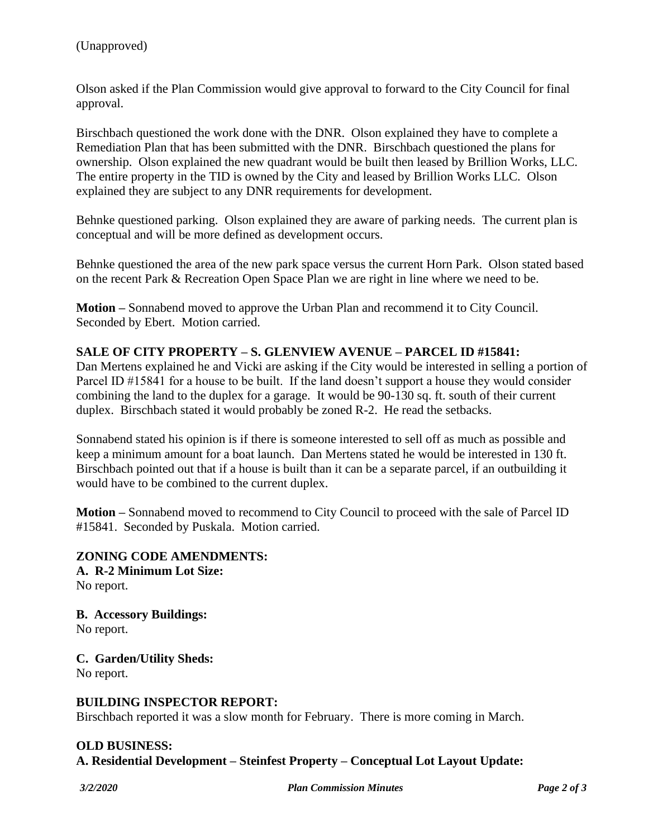Olson asked if the Plan Commission would give approval to forward to the City Council for final approval.

Birschbach questioned the work done with the DNR. Olson explained they have to complete a Remediation Plan that has been submitted with the DNR. Birschbach questioned the plans for ownership. Olson explained the new quadrant would be built then leased by Brillion Works, LLC. The entire property in the TID is owned by the City and leased by Brillion Works LLC. Olson explained they are subject to any DNR requirements for development.

Behnke questioned parking. Olson explained they are aware of parking needs. The current plan is conceptual and will be more defined as development occurs.

Behnke questioned the area of the new park space versus the current Horn Park. Olson stated based on the recent Park & Recreation Open Space Plan we are right in line where we need to be.

**Motion –** Sonnabend moved to approve the Urban Plan and recommend it to City Council. Seconded by Ebert. Motion carried.

# **SALE OF CITY PROPERTY – S. GLENVIEW AVENUE – PARCEL ID #15841:**

Dan Mertens explained he and Vicki are asking if the City would be interested in selling a portion of Parcel ID #15841 for a house to be built. If the land doesn't support a house they would consider combining the land to the duplex for a garage. It would be 90-130 sq. ft. south of their current duplex. Birschbach stated it would probably be zoned R-2. He read the setbacks.

Sonnabend stated his opinion is if there is someone interested to sell off as much as possible and keep a minimum amount for a boat launch. Dan Mertens stated he would be interested in 130 ft. Birschbach pointed out that if a house is built than it can be a separate parcel, if an outbuilding it would have to be combined to the current duplex.

**Motion –** Sonnabend moved to recommend to City Council to proceed with the sale of Parcel ID #15841. Seconded by Puskala. Motion carried.

**ZONING CODE AMENDMENTS: A. R-2 Minimum Lot Size:** No report.

**B. Accessory Buildings:** No report.

**C. Garden/Utility Sheds:** No report.

### **BUILDING INSPECTOR REPORT:**

Birschbach reported it was a slow month for February. There is more coming in March.

#### **OLD BUSINESS:**

**A. Residential Development – Steinfest Property – Conceptual Lot Layout Update:**